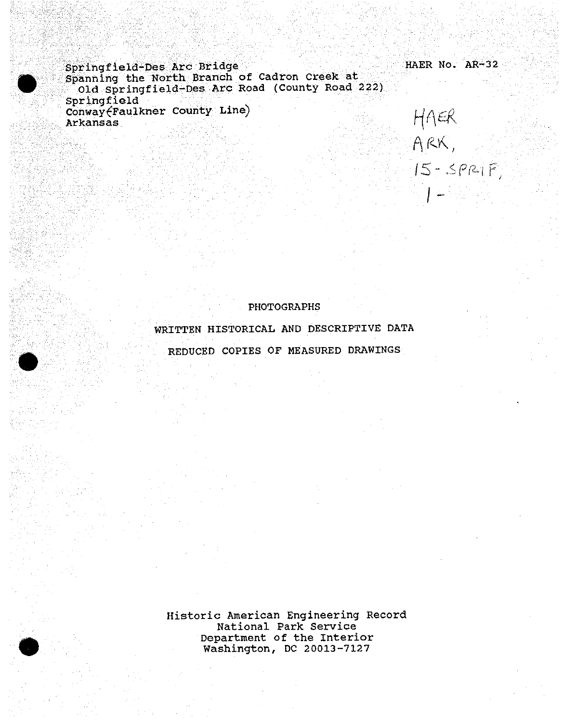Springfield-Des Arc Bridge HAER No. AR-32 Spanning the North Branch of Cadron Creek at Old Springfield-Des Arc Road (County Road 222) Springfield Conway<sup>Faulkner</sup> County Line) Arkansas

PHOTOGRAPHS

*IS- <Pfi-if*

*I*

WRITTEN HISTORICAL AND DESCRIPTIVE DATA REDUCED COPIES OF MEASURED DRAWINGS

Historic American Engineering Record National Park Service Department of the Interior Washington, DC 20013-7127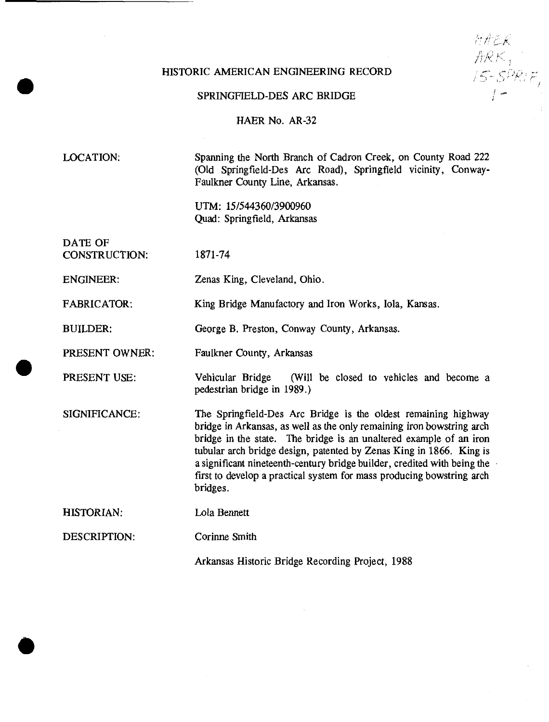## HISTORIC AMERICAN ENGINEERING RECORD

SPRINGFIELD-DES ARC BRIDGE

HAER No. AR-32

LOCATION;

Spanning the North Branch of Cadron Creek, on County Road 222 (Old Springfield-Des Arc Road), Springfield vicinity, Conway-Faulkner County Line, Arkansas.

*hf-'-tK*

/ *,j xj-* A

UTM: 15/544360/3900960 Quad: Springfield, Arkansas

DATE OF CONSTRUCTION:

1871-74

ENGINEER: Zenas King, Cleveland, Ohio.

FABRICATOR: King Bridge Manufactory and Iron Works, Iola, Kansas.

BUILDER: George B. Preston, Conway County, Arkansas.

Corinne Smith

PRESENT OWNER: Faulkner County, Arkansas

PRESENT USE:

Vehicular Bridge (Will be closed to vehicles and become a pedestrian bridge in 1989.)

SIGNIFICANCE: The Springfield-Des Arc Bridge is the oldest remaining highway bridge in Arkansas, as well as the only remaining iron bowstring arch bridge in the state. The bridge is an unaltered example of an iron tubular arch bridge design, patented by Zenas King in 1866. King is a significant nineteenth-century bridge builder, credited with being the first to develop a practical system for mass producing bowstring arch bridges.

HISTORIAN: Lola Bennett

DESCRIPTION:

**#**

Arkansas Historic Bridge Recording Project, 1988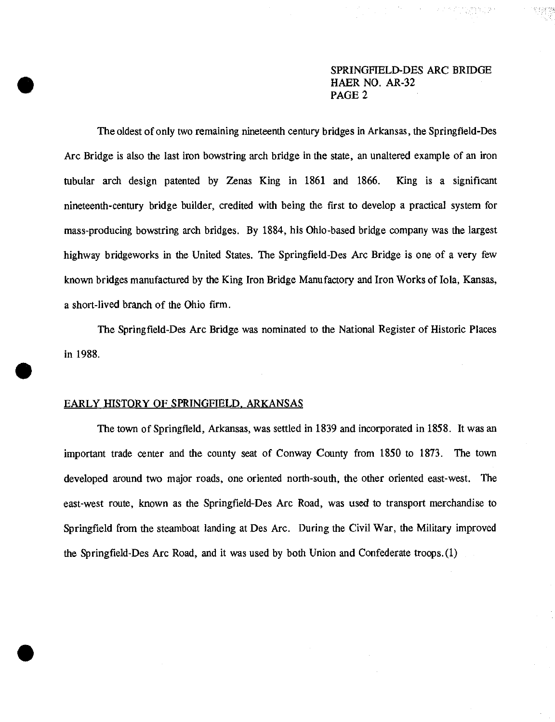The oldest of only two remaining nineteenth century bridges in Arkansas, the Springfield-Des Arc Bridge is also the last iron bowstring arch bridge in the state, an unaltered example of an iron tubular arch design patented by Zenas King in 1861 and 1866. King is a significant nineteenth-century bridge builder, credited with being the first to develop a practical system for mass-producing bowstring arch bridges. By 1884, his Ohio-based bridge company was the largest highway bridgeworks in the United States. The Springfield-Des Arc Bridge is one of a very few known bridges manufactured by the King Iron Bridge Manufactory and Iron Works of Iola, Kansas, a short-lived branch of the Ohio firm.

The Springfield-Des Arc Bridge was nominated to the National Register of Historic Places in 1988.

### EARLY HISTORY OF SPRINGFIELD. ARKANSAS

The town of Springfield, Arkansas, was settled in 1839 and incorporated in 1858. It was an important trade center and the county seat of Conway County from 1850 to 1873. The town developed around two major roads, one oriented north-south, the other oriented east-west. The east-west route, known as the Springfield-Des Arc Road, was used to transport merchandise to Springfield from the steamboat landing at Des Arc. During the Civil War, the Military improved the Springfield-Des Arc Road, and it was used by both Union and Confederate troops.(1)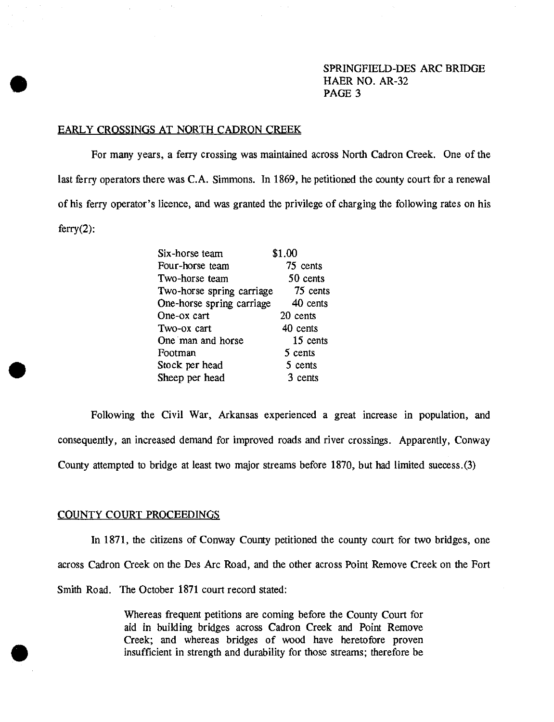#### EARLY CROSSINGS AT NORTH CADRQN CREEK

For many years, a ferry crossing was maintained across North Cadron Creek. One of the last ferry operators there was C.A. Simmons. In 1869, he petitioned the county court for a renewal of his ferry operator's licence, and was granted the privilege of charging the following rates on his  $ferry(2)$ :

| \$1.00                                |
|---------------------------------------|
| 75 cents                              |
| 50 cents                              |
| 75 cents<br>Two-horse spring carriage |
| One-horse spring carriage<br>40 cents |
| 20 cents                              |
| 40 cents                              |
| 15 cents                              |
| 5 cents                               |
| 5 cents                               |
| 3 cents                               |
|                                       |

Following the Civil War, Arkansas experienced a great increase in population, and consequently, an increased demand for improved roads and river crossings. Apparently, Conway County attempted to bridge at least two major streams before 1870, but had limited success.(3)

### COUNTY COURT PROCEEDINGS

In 1871, the citizens of Conway County petitioned the county court for two bridges, one across Cadron Creek on the Des Arc Road, and the other across Point Remove Creek on the Fort Smith Road. The October 1871 court record stated:

> Whereas frequent petitions are coming before the County Court for aid in building bridges across Cadron Creek and Point Remove Creek; and whereas bridges of wood have heretofore proven insufficient in strength and durability for those streams; therefore be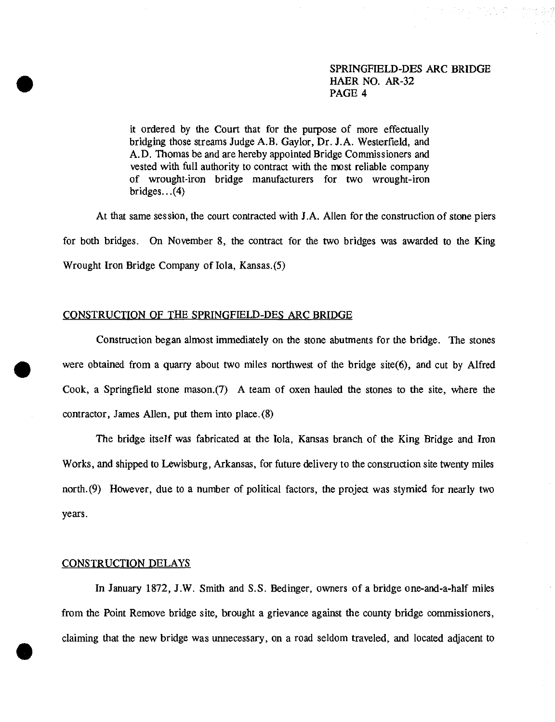it ordered by the Court that for the purpose of more effectually bridging those streams Judge A.B. Gaylor, Dr. J.A. Westerfield, and A.D. Thomas be and are hereby appointed Bridge Commissioners and vested with full authority to contract with the most reliable company of wrought-iron bridge manufacturers for two wrought-iron bridges...(4)

At that same session, the court contracted with J.A. Allen for the construction of stone piers for both bridges. On November 8, the contract for the two bridges was awarded to the King Wrought Iron Bridge Company of Iola, Kansas.(5)

## CONSTRUCTION OF THE SPRINGFIELD-DES ARC BRIDGE

Construction began almost immediately on the stone abutments for the bridge. The stones were obtained from a quarry about two miles northwest of the bridge site(6), and cut by Alfred Cook, a Springfield stone mason.(7) A team of oxen hauled the stones to the site, where the contractor, James Allen, put them into place. (8)

The bridge itself was fabricated at the Iola, Kansas branch of the King Bridge and Iron Works, and shipped to Lewisburg, Arkansas, for future delivery to the construction site twenty miles north. (9) However, due to a number of political factors, the project was stymied for nearly two years.

#### CONSTRUCTION DELAYS

In January 1872, J.W. Smith and S.S. Bedinger, owners of a bridge one-and-a-half miles from the Point Remove bridge site, brought a grievance against the county bridge commissioners, claiming that the new bridge was unnecessary, on a road seldom traveled, and located adjacent to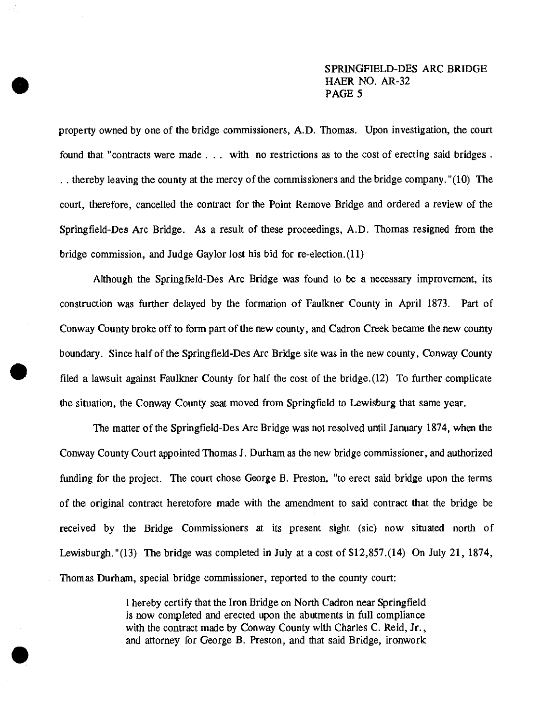property owned by one of the bridge commissioners, A.D. Thomas. Upon investigation, the court found that "contracts were made . . . with no restrictions as to the cost of erecting said bridges . . . thereby leaving the county at the mercy of the commissioners and the bridge company. "(10) The court, therefore, cancelled the contract for the Point Remove Bridge and ordered a review of the Springfield-Des Arc Bridge. As a result of these proceedings, A.D. Thomas resigned from the bridge commission, and Judge Gaylor lost his bid for re-election.(11)

Although the Springfield-Des Arc Bridge was found to be a necessary improvement, its construction was further delayed by the formation of Faulkner County in April 1873. Part of Conway County broke off to form part of the new county, and Cadron Creek became the new county boundary. Since half ofthe Springfield-Des Arc Bridge site was in the new county, Conway County filed a lawsuit against Faulkner County for half the cost of the bridge.(12) To further complicate the situation, the Conway County seat moved from Springfield to Lewisburg that same year.

The matter of the Springfield-Des Arc Bridge was not resolved until January 1874, when the Conway County Court appointed Thomas J. Durham as the new bridge commissioner, and authorized funding for the project. The court chose George B. Preston, "to erect said bridge upon the terms of the original contract heretofore made with the amendment to said contract that the bridge be received by the Bridge Commissioners at its present sight (sic) now situated north of Lewisburgh."(13) The bridge was completed in July at a cost of \$12,857.(14) On July 21, 1874, Thomas Durham, special bridge commissioner, reported to the county court:

> I hereby certify that the Iron Bridge on North Cadron near Springfield is now completed and erected upon the abutments in full compliance with the contract made by Conway County with Charles C. Reid, Jr., and attorney for George B. Preston, and that said Bridge, ironwork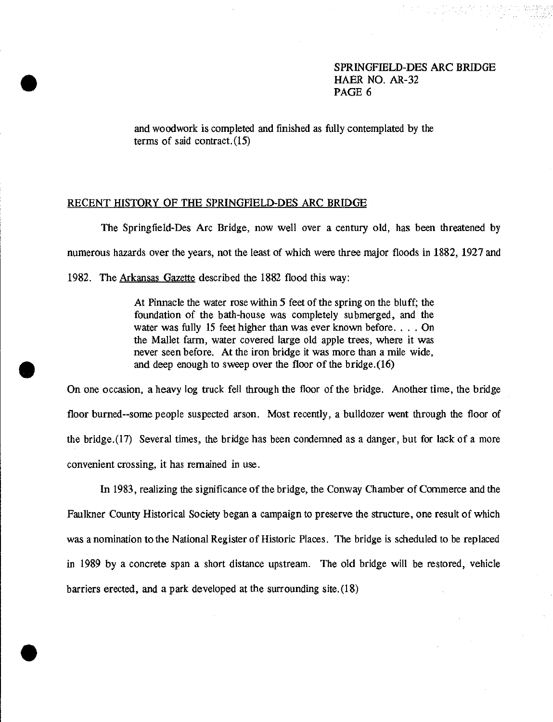and woodwork is completed and finished as fully contemplated by the terms of said contract.(15)

### RECENT HISTORY OF THE SPRINGFIELD-DES ARC BRIDGE

**•**

The Springfield-Des Arc Bridge, now well over a century old, has been threatened by numerous hazards over the years, not the least of which were three major floods in 1882, 1927 and 1982. The Arkansas Gazette described the 1882 flood this way:

> At Pinnacle the water rose within 5 feet of the spring on the bluff; the foundation of the bath-house was completely submerged, and the water was fully 15 feet higher than was ever known before. . . . On the Mallet farm, water covered large old apple trees, where it was never seen before. At the iron bridge it was more than a mile wide, and deep enough to sweep over the floor of the bridge. (16)

On one occasion, a heavy log truck fell through the floor of the bridge. Another time, the bridge floor burned-some people suspected arson. Most recently, a bulldozer went through the floor of the bridge.(17) Several times, the bridge has been condemned as a danger, but for lack of a more convenient crossing, it has remained in use.

In 1983, realizing the significance of the bridge, the Conway Chamber of Commerce and the Faulkner County Historical Society began a campaign to preserve the structure, one result of which was a nomination to the National Register of Historic Places. The bridge is scheduled to be replaced in 1989 by a concrete span a short distance upstream. The old bridge will be restored, vehicle barriers erected, and a park developed at the surrounding site.(18)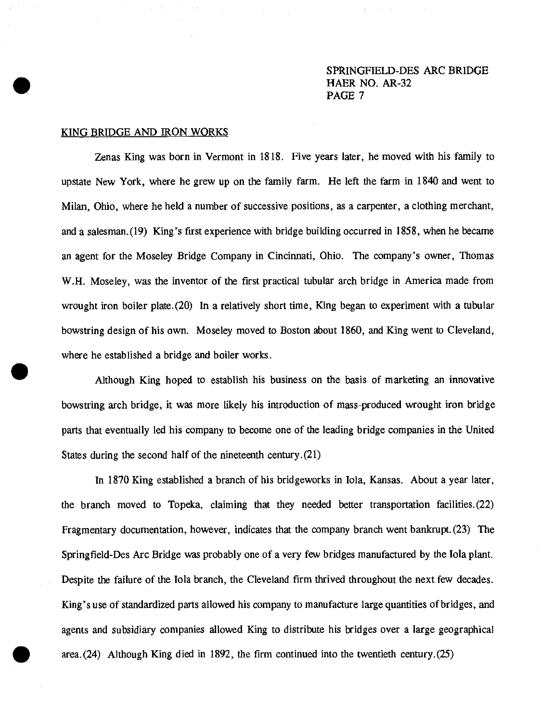### KING BRIDGE AND IRON WORKS

Zenas King was born in Vermont in 1818. Five years later, he moved with his family to upstate New York, where he grew up on the family farm. He left the farm in 1840 and went to Milan, Ohio, where he held a number of successive positions, as a carpenter, a clothing merchant, and a salesman.(19) King's first experience with bridge building occurred in 1858, when he became an agent for the Moseley Bridge Company in Cincinnati, Ohio. The company's owner, Thomas W.H. Moseley, was the inventor of the first practical tubular arch bridge in America made from wrought iron boiler plate.(20) In a relatively short time, King began to experiment with a tubular bowstring design of his own. Moseley moved to Boston about 1860, and King went to Cleveland, where he established a bridge and boiler works.

Although King hoped to establish his business on the basis of marketing an innovative bowstring arch bridge, it was more likely his introduction of mass-produced wrought iron bridge parts that eventually led his company to become one of the leading bridge companies in the United States during the second half of the nineteenth century.(21)

In 1870 King established a branch of his bridgeworks in Iola, Kansas. About a year later, the branch moved to Topeka, claiming that they needed better transportation facilities.(22) Fragmentary documentation, however, indicates that the company branch went bankrupt. (23) The Springfield-Des Arc Bridge was probably one of a very few bridges manufactured by the Iola plant. Despite the failure of the Iola branch, the Cleveland firm thrived throughout the next few decades. King's use of standardized parts allowed his company to manufacture large quantities of bridges, and agents and subsidiary companies allowed King to distribute his bridges over a large geographical area. (24) Although King died in 1892, the firm continued into the twentieth century.(25)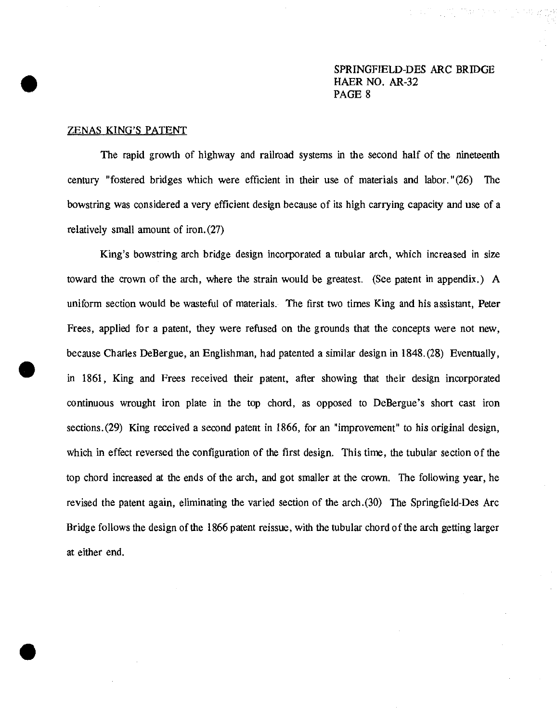#### ZENAS KING'S PATENT

The rapid growth of highway and railroad systems in the second half of the nineteenth century "fostered bridges which were efficient in their use of materials and labor."(26) The bowstring was considered a very efficient design because of its high carrying capacity and use of a relatively small amount of iron. (27)

King's bowstring arch bridge design incorporated a tubular arch, which increased in size toward the crown of the arch, where the strain would be greatest. (See patent in appendix.) A uniform section would be wasteful of materials. The first two times King and his assistant, Peter Frees, applied for a patent, they were refused on the grounds that the concepts were not new, because Charles DeBergue, an Englishman, had patented a similar design in 1848.(28) Eventually, in 1861, King and Frees received their patent, after showing that their design incorporated continuous wrought iron plate in the top chord, as opposed to DeBergue's short cast iron sections. (29) King received a second patent in 1866, for an "improvement" to his original design, which in effect reversed the configuration of the first design. This time, the tubular section of the top chord increased at the ends of the arch, and got smaller at the crown. The following year, he revised the patent again, eliminating the varied section of the arch.(30) The Springfield-Des Arc Bridge follows the design of the 1866 patent reissue, with the tubular chord of the arch getting larger at either end.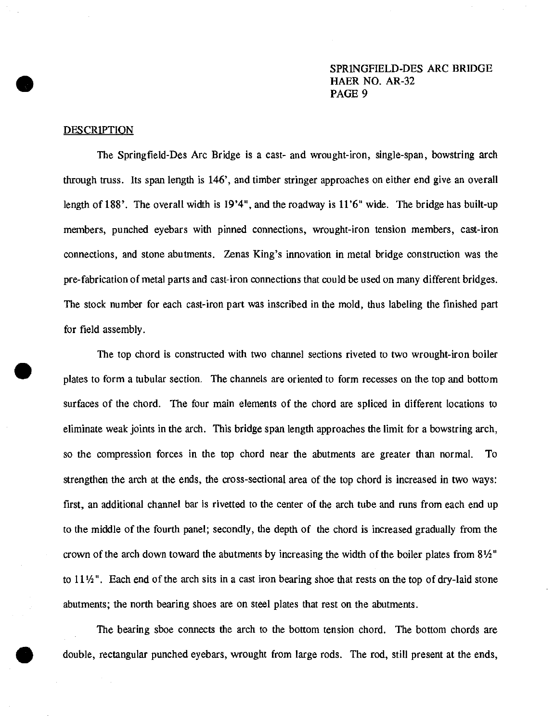#### DESCRIPTION

The Springfield-Des Arc Bridge is a cast- and wrought-iron, single-span, bowstring arch through truss. Its span length is 146', and timber stringer approaches on either end give an overall length of 188'. The overall width is 19'4", and the roadway is 11'6" wide. The bridge has built-up members, punched eyebars with pinned connections, wrought-iron tension members, cast-iron connections, and stone abutments. Zenas King's innovation in metal bridge construction was the pre-fabrication of metal parts and cast-iron connections that could be used on many different bridges. The stock number for each cast-iron part was inscribed in the mold, thus labeling the finished part for field assembly.

The top chord is constructed with two channel sections riveted to two wrought-iron boiler plates to form a tubular section. The channels are oriented to form recesses on the top and bottom surfaces of the chord. The four main elements of the chord are spliced in different locations to eliminate weak joints in the arch. This bridge span length approaches the limit for a bowstring arch, so the compression forces in the top chord near the abutments are greater than normal. To strengthen the arch at the ends, the cross-sectional area of the top chord is increased in two ways: first, an additional channel bar is rivetted to the center of the arch tube and runs from each end up to the middle of the fourth panel; secondly, the depth of the chord is increased gradually from the crown of the arch down toward the abutments by increasing the width of the boiler plates from  $8\frac{1}{2}$ " to <sup>11</sup> *Vi*". Each end of the arch sits in a cast iron bearing shoe that rests on the top of dry-laid stone abutments; the north bearing shoes are on steel plates that rest on the abutments.

The bearing shoe connects the arch to the bottom tension chord. The bottom chords are double, rectangular punched eyebars, wrought from large rods. The rod, still present at the ends,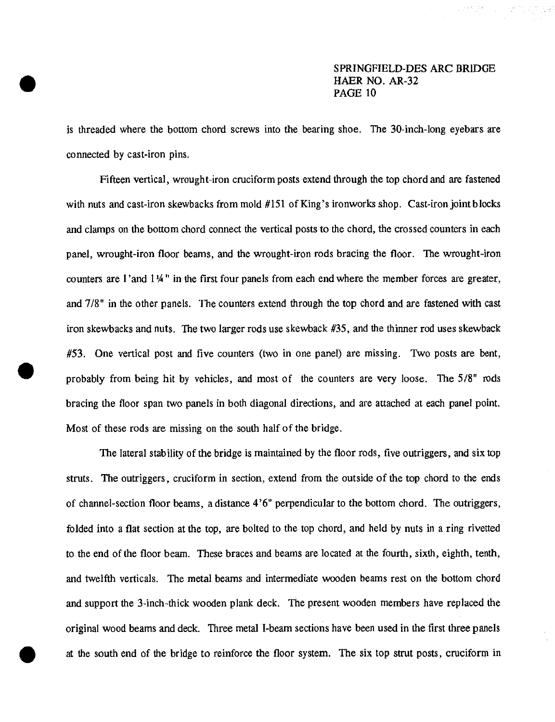is threaded where the bottom chord screws into the bearing shoe. The 30-inch-long eyebars are connected by cast-iron pins.

Fifteen vertical, wrought-iron cruciform posts extend through the top chord and are fastened with nuts and cast-iron skewbacks from mold #151 of King's ironworks shop. Cast-iron joint blocks and clamps on the bottom chord connect the vertical posts to the chord, the crossed counters in each panel, wrought-iron floor beams, and the wrought-iron rods bracing the floor. The wrought-iron counters are <sup>1</sup> 'and <sup>1</sup> *<sup>l</sup><sup>A</sup>* " in the first four panels from each end where the member forces are greater, and 7/8" in the other panels. The counters extend through the top chord and are fastened with cast iron skewbacks and nuts. The two larger rods use skewback #35, and the thinner rod uses skewback #53. One vertical post and five counters (two in one panel) are missing. Two posts are bent, probably from being hit by vehicles, and most of the counters are very loose. The 5/8" rods bracing the floor span two panels in both diagonal directions, and are attached at each panel point. Most of these rods are missing on the south half of the bridge.

The lateral stability of the bridge is maintained by the floor rods, five outriggers, and six top struts. The outriggers, cruciform in section, extend from the outside of the top chord to the ends of channel-section floor beams, a distance 4'6" perpendicular to the bottom chord. The outriggers, folded into a flat section at the top, are bolted to the top chord, and held by nuts in a ring rivetted to the end of the floor beam. These braces and beams are located at the fourth, sixth, eighth, tenth, and twelfth verticals. The metal beams and intermediate wooden beams rest on the bottom chord and support the 3-inch-thick wooden plank deck. The present wooden members have replaced the original wood beams and deck. Three metal I-beam sections have been used in the first three panels at the south end of the bridge to reinforce the floor system. The six top strut posts, cruciform in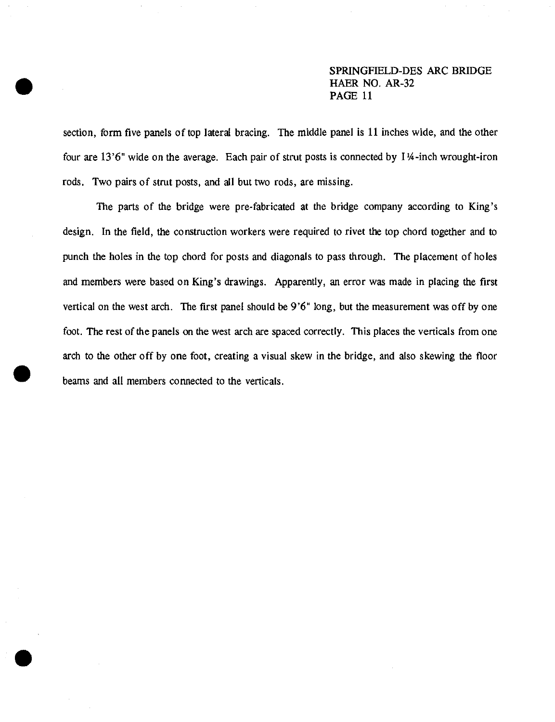section, form five panels of top lateral bracing. The middle panel is 11 inches wide, and the other four are 13'6" wide on the average. Each pair of strut posts is connected by 114-inch wrought-iron rods. Two pairs of strut posts, and all but two rods, are missing.

The parts of the bridge were pre-fabricated at the bridge company according to King's design. In the field, the construction workers were required to rivet the top chord together and to punch the holes in the top chord for posts and diagonals to pass through. The placement of holes and members were based on King's drawings. Apparently, an error was made in placing the first vertical on the west arch. The first panel should be 9'6" long, but the measurement was off by one foot. The rest of the panels on the west arch are spaced correctly. This places the verticals from one arch to the other off by one foot, creating a visual skew in the bridge, and also skewing the floor beams and all members connected to the verticals.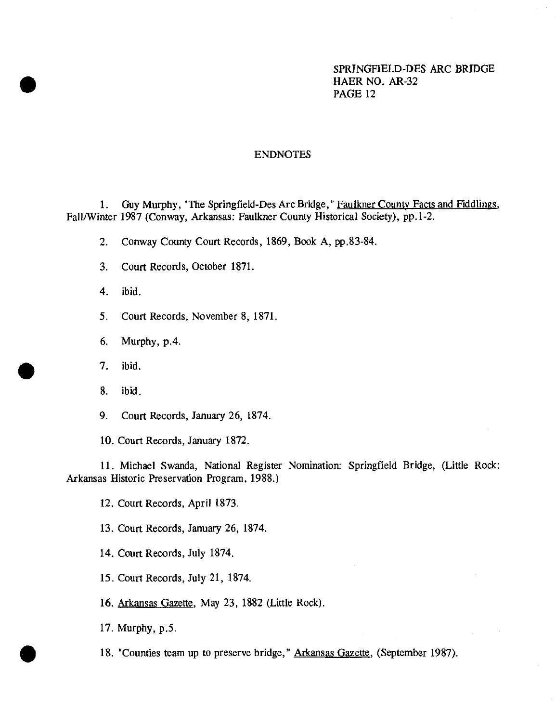## ENDNOTES

1. Guy Murphy, "The Springfield-Des Arc Bridge," Faulkner County Facts and Fiddlings. Fall/Winter 1987 (Conway, Arkansas: Faulkner County Historical Society), pp.1-2.

- 2. Conway County Court Records, 1869, Book A, pp.83-84.
- 3. Court Records, October 1871.
- 4. ibid.
- 5. Court Records, November 8, 1871.
- 6. Murphy, p.4.
- 7. ibid.
- 8. ibid.
- 9. Court Records, January 26, 1874.

10. Court Records, January 1872.

11. Michael Swanda, National Register Nomination: Springfield Bridge, (Little Rock: Arkansas Historic Preservation Program, 1988.)

12. Court Records, April 1873.

- 13. Court Records, January 26, 1874.
- 14. Court Records, July 1874.
- 15. Court Records, July 21, 1874.
- 16. Arkansas Gazette. May 23, 1882 (Little Rock).
- 17. Murphy, p.5.
- 18. "Counties team up to preserve bridge," Arkansas Gazette, (September 1987).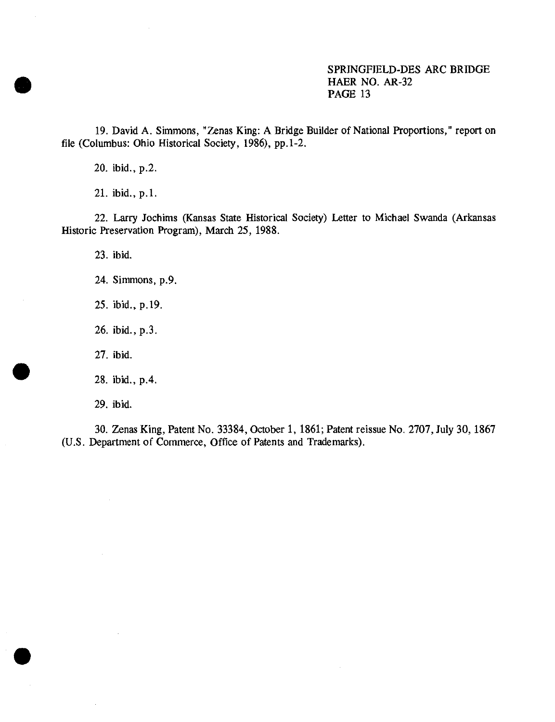19. David A. Simmons, "Zenas King: A Bridge Builder of National Proportions," report on file (Columbus: Ohio Historical Society, 1986), pp.1-2.

20. ibid., p.2.

21. ibid., p.1.

22. Larry Jochims (Kansas State Historical Society) Letter to Michael Swanda (Arkansas Historic Preservation Program), March 25, 1988.

23. ibid.

24. Simmons, p.9.

25. ibid., p.19.

26. ibid.,p.3.

27. ibid.

28. ibid.,p.4.

29. ibid.

30. Zenas King, Patent No. 33384, October 1, 1861; Patent reissue No. 2707, July 30,1867 (U.S. Department of Commerce, Office of Patents and Trademarks).